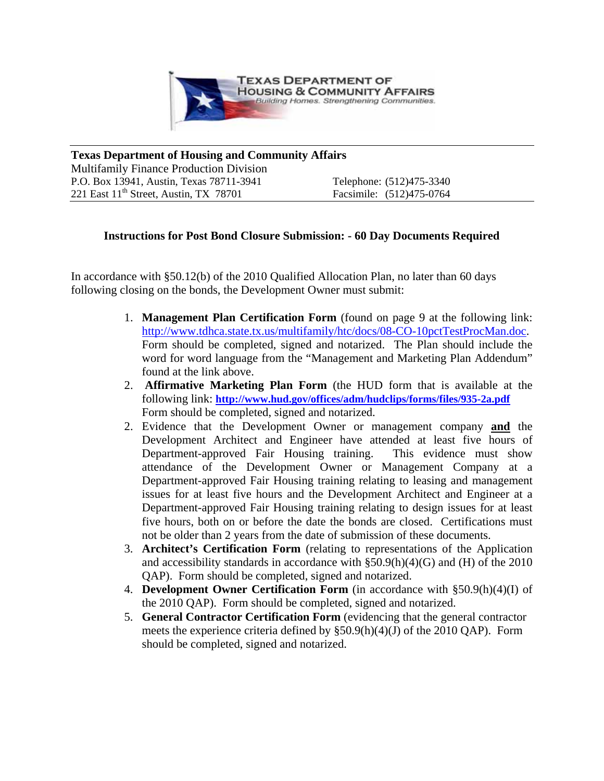

**Texas Department of Housing and Community Affairs**  Multifamily Finance Production Division P.O. Box 13941, Austin, Texas 78711-3941 Telephone: (512)475-3340 221 East 11<sup>th</sup> Street, Austin, TX 78701 Facsimile: (512)475-0764

## **Instructions for Post Bond Closure Submission: - 60 Day Documents Required**

In accordance with §50.12(b) of the 2010 Qualified Allocation Plan, no later than 60 days following closing on the bonds, the Development Owner must submit:

- 1. **Management Plan Certification Form** (found on page 9 at the following link: [http://www.tdhca.state.tx.us/multifamily/htc/docs/08-CO-10pctTestProcMan.doc.](http://www.tdhca.state.tx.us/multifamily/htc/docs/08-CO-10pctTestProcMan.doc) Form should be completed, signed and notarized. The Plan should include the word for word language from the "Management and Marketing Plan Addendum" found at the link above.
- 2. **Affirmative Marketing Plan Form** (the HUD form that is available at the following link: **<http://www.hud.gov/offices/adm/hudclips/forms/files/935-2a.pdf>** Form should be completed, signed and notarized.
- 2. Evidence that the Development Owner or management company **and** the Development Architect and Engineer have attended at least five hours of Department-approved Fair Housing training. This evidence must show attendance of the Development Owner or Management Company at a Department-approved Fair Housing training relating to leasing and management issues for at least five hours and the Development Architect and Engineer at a Department-approved Fair Housing training relating to design issues for at least five hours, both on or before the date the bonds are closed. Certifications must not be older than 2 years from the date of submission of these documents.
- 3. **Architect's Certification Form** (relating to representations of the Application and accessibility standards in accordance with  $\S50.9(h)(4)(G)$  and (H) of the 2010 QAP). Form should be completed, signed and notarized.
- 4. **Development Owner Certification Form** (in accordance with §50.9(h)(4)(I) of the 2010 QAP). Form should be completed, signed and notarized.
- 5. **General Contractor Certification Form** (evidencing that the general contractor meets the experience criteria defined by §50.9(h)(4)(J) of the 2010 QAP). Form should be completed, signed and notarized.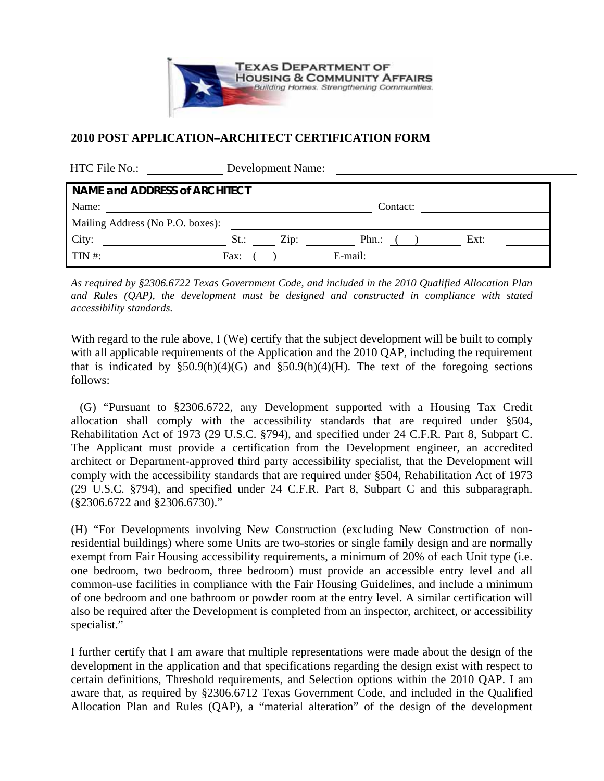

## **2010 POST APPLICATION–ARCHITECT CERTIFICATION FORM**

| HTC File No.:                        | Development Name:                                 |  |  |
|--------------------------------------|---------------------------------------------------|--|--|
| <b>NAME and ADDRESS of ARCHITECT</b> |                                                   |  |  |
| Name:                                | Contact:                                          |  |  |
| Mailing Address (No P.O. boxes):     |                                                   |  |  |
| City:                                | $\operatorname{Zip:}$<br>$Phn$ .:<br>St.:<br>Ext: |  |  |
| $TIN$ #:                             | E-mail:<br>Fax:                                   |  |  |

*As required by §2306.6722 Texas Government Code, and included in the 2010 Qualified Allocation Plan and Rules (QAP), the development must be designed and constructed in compliance with stated accessibility standards.* 

With regard to the rule above, I (We) certify that the subject development will be built to comply with all applicable requirements of the Application and the 2010 QAP, including the requirement that is indicated by  $$50.9(h)(4)(G)$  and  $$50.9(h)(4)(H)$ . The text of the foregoing sections follows:

(G) "Pursuant to §2306.6722, any Development supported with a Housing Tax Credit allocation shall comply with the accessibility standards that are required under §504, Rehabilitation Act of 1973 (29 U.S.C. §794), and specified under 24 C.F.R. Part 8, Subpart C. The Applicant must provide a certification from the Development engineer, an accredited architect or Department-approved third party accessibility specialist, that the Development will comply with the accessibility standards that are required under §504, Rehabilitation Act of 1973 (29 U.S.C. §794), and specified under 24 C.F.R. Part 8, Subpart C and this subparagraph. (§2306.6722 and §2306.6730)."

(H) "For Developments involving New Construction (excluding New Construction of nonresidential buildings) where some Units are two-stories or single family design and are normally exempt from Fair Housing accessibility requirements, a minimum of 20% of each Unit type (i.e. one bedroom, two bedroom, three bedroom) must provide an accessible entry level and all common-use facilities in compliance with the Fair Housing Guidelines, and include a minimum of one bedroom and one bathroom or powder room at the entry level. A similar certification will also be required after the Development is completed from an inspector, architect, or accessibility specialist."

I further certify that I am aware that multiple representations were made about the design of the development in the application and that specifications regarding the design exist with respect to certain definitions, Threshold requirements, and Selection options within the 2010 QAP. I am aware that, a*s* required by §2306.6712 Texas Government Code, and included in the Qualified Allocation Plan and Rules (QAP), a "material alteration" of the design of the development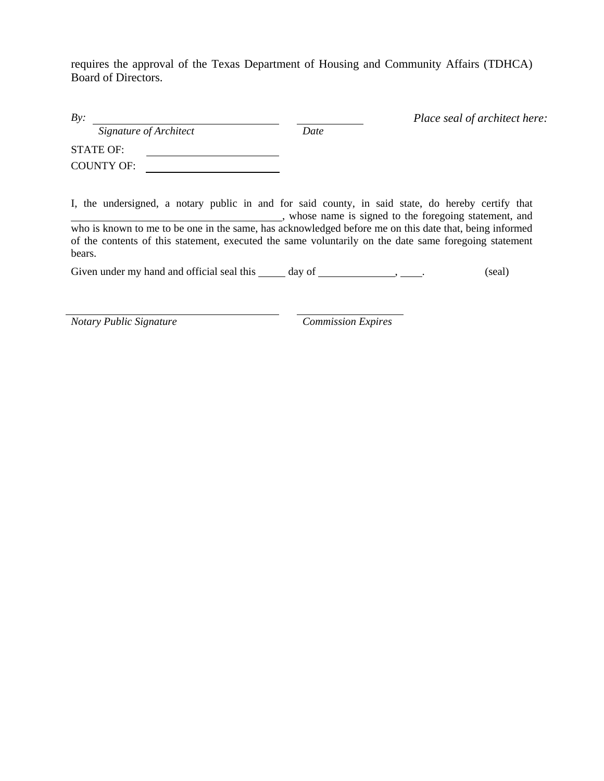requires the approval of the Texas Department of Housing and Community Affairs (TDHCA) Board of Directors.

| By:                                   |                                                                                                                                                             | Place seal of architect here: |  |
|---------------------------------------|-------------------------------------------------------------------------------------------------------------------------------------------------------------|-------------------------------|--|
| Signature of Architect                | Date                                                                                                                                                        |                               |  |
| <b>STATE OF:</b><br><b>COUNTY OF:</b> |                                                                                                                                                             |                               |  |
|                                       | I, the undersigned, a notary public in and for said county, in said state, do hereby certify that<br>, whose name is signed to the foregoing statement, and |                               |  |

who is known to me to be one in the same, has acknowledged before me on this date that, being informed of the contents of this statement, executed the same voluntarily on the date same foregoing statement bears.

Given under my hand and official seal this \_\_\_\_\_ day of \_\_\_\_\_\_\_\_\_\_\_\_\_\_\_\_\_\_\_\_\_\_\_. (seal)

*Notary Public Signature Commission Expires*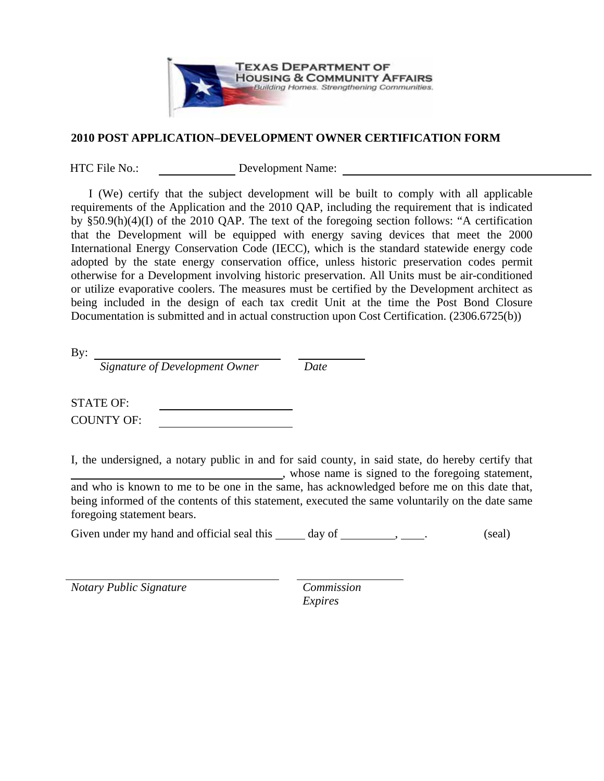

## **2010 POST APPLICATION–DEVELOPMENT OWNER CERTIFICATION FORM**

HTC File No.: Development Name:

I (We) certify that the subject development will be built to comply with all applicable requirements of the Application and the 2010 QAP, including the requirement that is indicated by §50.9(h)(4)(I) of the 2010 QAP. The text of the foregoing section follows: "A certification that the Development will be equipped with energy saving devices that meet the 2000 International Energy Conservation Code (IECC), which is the standard statewide energy code adopted by the state energy conservation office, unless historic preservation codes permit otherwise for a Development involving historic preservation. All Units must be air-conditioned or utilize evaporative coolers. The measures must be certified by the Development architect as being included in the design of each tax credit Unit at the time the Post Bond Closure Documentation is submitted and in actual construction upon Cost Certification. (2306.6725(b))

By:

*Signature of Development Owner Date* 

STATE OF: COUNTY OF:

I, the undersigned, a notary public in and for said county, in said state, do hereby certify that , whose name is signed to the foregoing statement, and who is known to me to be one in the same, has acknowledged before me on this date that, being informed of the contents of this statement, executed the same voluntarily on the date same foregoing statement bears.

Given under my hand and official seal this  $\_\_\_\_$  day of  $\_\_\_\_\_\_\$ ,  $\_\_\_\_\$ . (seal)

*Notary Public Signature Commission* 

*Expires*